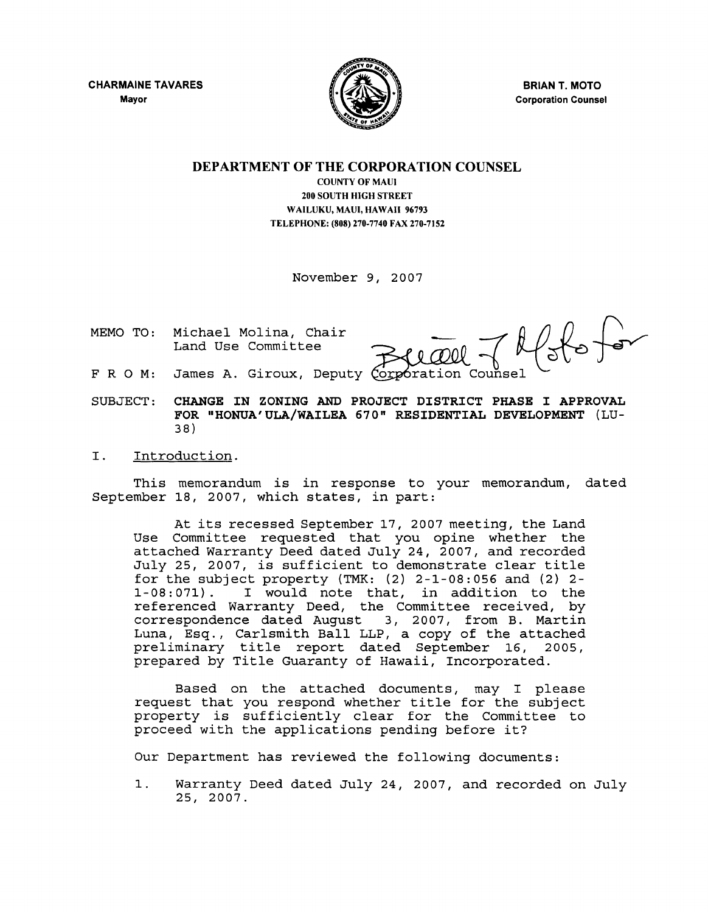CHARMAINE TAVARES Mayor



BRIAN T. MOTO Corporation Counsel

# DEPARTMENT OF THE CORPORATION COUNSEL

COUNTY OF MAUl 200 SOUTH HIGH STREET WAILUKU, MAUI, HAWAII 96793 TELEPHONE: (808) 270-7740 FAX 270-7152

November 9, 2007

MEMO TO: Michael Molina, Chair Land Use Committee

 $f_{\text{obs}}$ 

- FRO M: James A. Giroux, Deputy
- SUBJECT: CHANGE IN ZONING AND PROJECT DISTRICT PHASE I APPROVAL FOR "HONUA'ULA/WAILEA 670" RESIDENTIAL DEVELOPMENT (LU-38)

## I. Introduction.

This memorandum is in response to your memorandum, dated September 18, 2007, which states, in part:

At its recessed September 17, 2007 meeting, the Land Use Committee requested that you opine whether the attached Warranty Deed dated July 24, 2007, and recorded July 25, 2007, is sufficient to demonstrate clear title for the subject property (TMK:  $(2)$  2-1-08:056 and  $(2)$  2-1-08:071). I would note that, in addition to the I would note that, in addition to the referenced Warranty Deed, the Committee received, by correspondence dated August 3, 2007, from B. Martin Luna, Esq., Carlsmith Ball LLP, a copy of the attached preliminary title report dated September 16, 2005, prepared by Title Guaranty of Hawaii, Incorporated.

Based on the attached documents, may I please request that you respond whether title for the subject property is sufficiently clear for the Committee to proceed with the applications pending before it?

Our Department has reviewed the following documents:

1. Warranty Deed dated July 24, 2007, and recorded on July 25, 2007.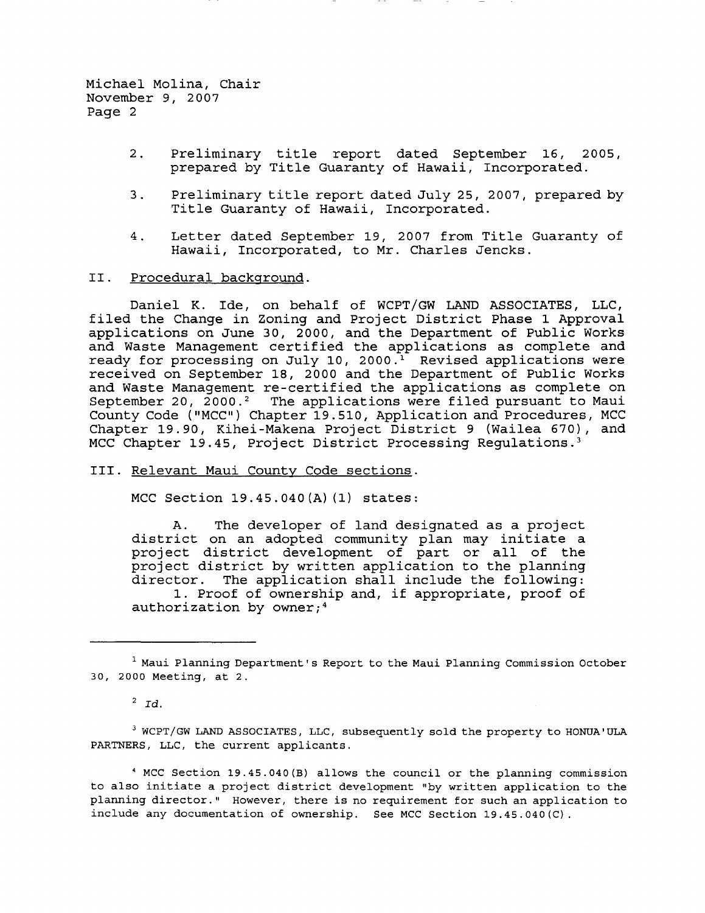- 2. Preliminary title report dated September 16, 2005, prepared by Title Guaranty of Hawaii, Incorporated.
- 3. Preliminary title report dated July 25, 2007, prepared by Title Guaranty of Hawaii, Incorporated.
- 4. Letter dated September 19, 2007 from Title Guaranty of Hawaii, Incorporated, to Mr. Charles Jencks.

#### II. Procedural background.

Daniel K. Ide, on behalf of WCPT/GW LAND ASSOCIATES, LLC, filed the Change in Zoning and Project District Phase 1 Approval applications on June 30, 2000, and the Department of Public Works and Waste Management certified the applications as complete and ready for processing on July 10, 2000.<sup>1</sup> Revised applications were received on September 18, 2000 and the Department of Public Works and Waste Management re-certified the applications as complete on September 20,  $2000.^2$  The applications were filed pursuant to Maui County Code ("MCC") Chapter 19.510, Application and Procedures, MCC Chapter 19.90, Kihei-Makena Project District 9 (Wailea 670), and MCC Chapter 19.45, Project District Processing Regulations.<sup>3</sup>

# III. Relevant Maui County Code sections.

MCC Section 19.45.040(A) (1) states:

A. The developer of land designated as a project district on an adopted community plan may initiate a arstrict on an adopted community pian may initiate a<br>project district development of part or all of the project district development of part of and of the<br>project district by written application to the planning director. The application shall include the following: 1. Proof of ownership and, if appropriate, proof of authorization by owner;<sup>4</sup>

 $2 \overline{Id}$ .

<sup>3</sup> WCPT/GW LAND ASSOCIATES, LLC, subsequently sold the property to HONUA'ULA PARTNERS, LLC, the current applicants.

4 MCC Section 19.45.040(B) allows the councilor the planning commission to also initiate a project district development "by written application to the planning director." However, there is no requirement for such an application to include any documentation of ownership. See MCC section 19.45.040(C).

<sup>1</sup> Maui Planning Department's Report to the Maui Planning Commission October 30, 2000 Meeting, at 2.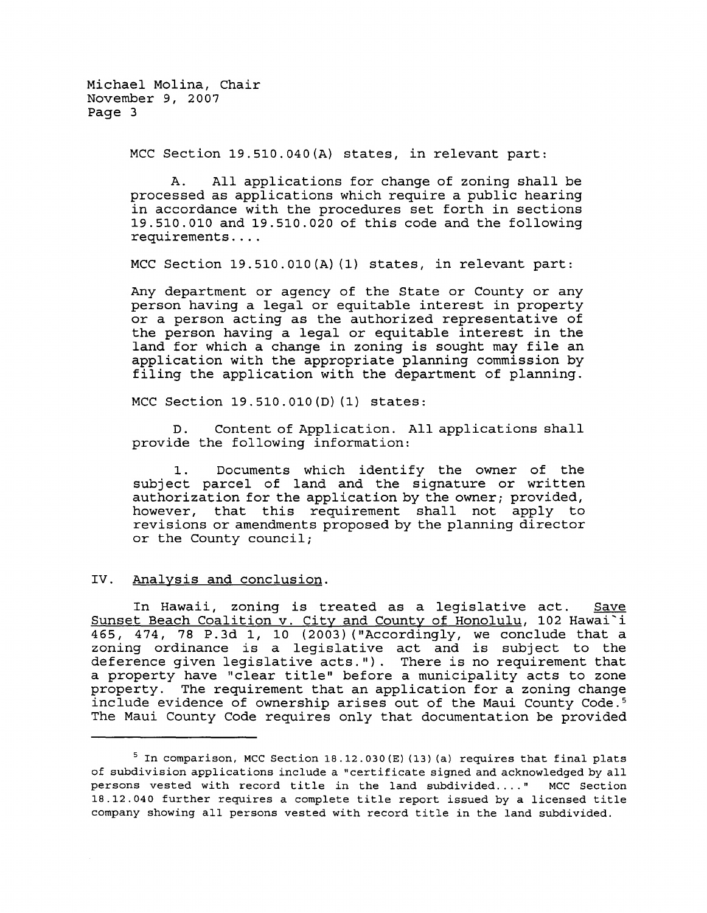MCC Section 19.510.040(A) states, in relevant part:

A. All applications for change of zoning shall be processed as applications which require a public hearing in accordance with the procedures set forth in sections 19.510.010 and 19.510.020 of this code and the following requirements ....

MCC Section 19.510.010(A) (1) states, in relevant part:

Any department or agency of the State or County or any person having a legal or equitable interest in property or a person acting as the authorized representative of the person having a legal or equitable interest in the land for which a change in zoning is sought may file an application with the appropriate planning commission by filing the application with the department of planning.

MCC Section 19.510.010(D) (1) states:

D. Content of Application. All applications shall provide the following information:

1. Documents which identify the owner of the subject parcel of land and the signature or written authorization for the application by the owner; provided, however, that this requirement shall not apply to revisions or amendments proposed by the planning director or the County council;

# IV. Analysis and conclusion.

In Hawaii, zoning is treated as a legislative act. Save Sunset Beach Coalition v. City and County of Honolulu, 102 Hawai i 465, 474, 78 P.3d I, 10 (2003) ("Accordingly, we conclude that a zoning ordinance is a legislative act and is subject to the deference given legislative acts."). There is no requirement that a property have "clear title" before a municipality acts to zone property. The requirement that an application for a zoning change include evidence of ownership arises out of the Maui County Code. <sup>5</sup> The Maui County Code requires only that documentation be provided

<sup>&</sup>lt;sup>5</sup> In comparison, MCC Section 18.12.030 (E) (13) (a) requires that final plats of subdivision applications include a "certificate signed and acknowledged by all persons vested with record title in the land subdivided .... " MCC Section 18.12.040 further requires a complete title report issued by a licensed title company showing all persons vested with record title in the land subdivided.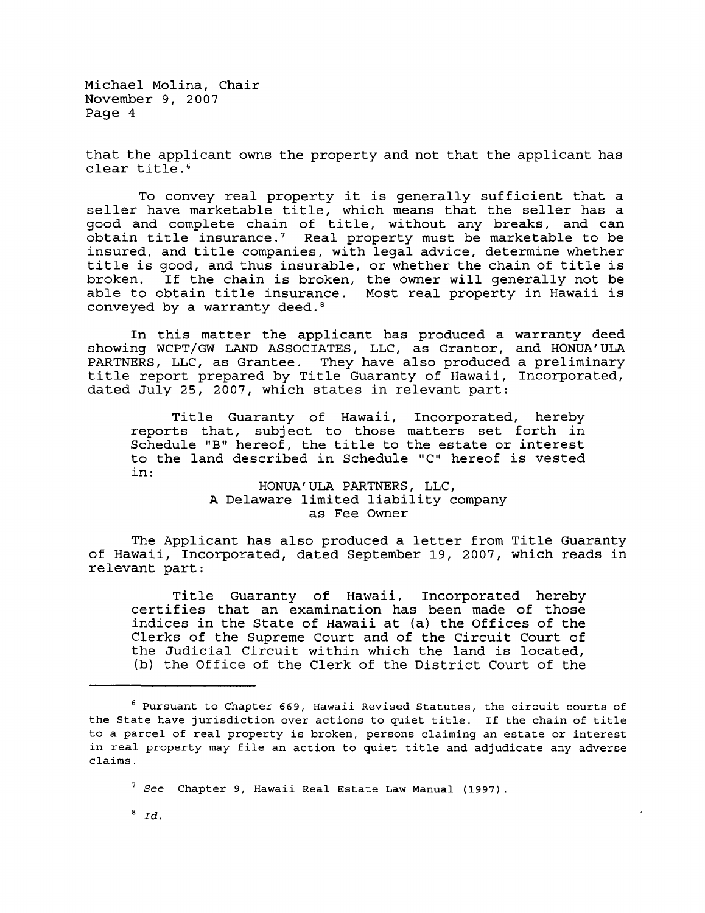that the applicant owns the property and not that the applicant has clear title. 6

To convey real property it is generally sufficient that a seller have marketable title, which means that the seller has a good and complete chain of title, without any breaks, and can obtain title insurance.? Real property must be marketable to be insured, and title companies, with legal advice, determine whether title is good, and thus insurable, or whether the chain of title is broken. If the chain is broken, the owner will generally not be able to obtain title insurance. Most real property in Hawaii is conveyed by a warranty deed. <sup>8</sup>

In this matter the applicant has produced a warranty deed showing WCPT/GW LAND ASSOCIATES, LLC, as Grantor, and HONUA'ULA PARTNERS, LLC, as Grantee. They have also produced a preliminary title report prepared by Title Guaranty of Hawaii, Incorporated, dated July 25, 2007, which states in relevant part:

Title Guaranty of Hawaii, Incorporated, hereby reports that, subject to those matters set forth in Schedule "B" hereof, the title to the estate or interest to the land described in Schedule "C" hereof is vested in:

> HONUA'ULA PARTNERS, LLC, A Delaware limited liability company as Fee Owner

The Applicant has also produced a letter from Title Guaranty of Hawaii, Incorporated, dated September 19, 2007, which reads in relevant part:

Title Guaranty of Hawaii, Incorporated hereby certifies that an examination has been made of those indices in the State of Hawaii at (a) the Offices of the Clerks of the Supreme Court and of the Circuit Court of the Judicial Circuit within which the land is located, (b) the Office of the Clerk of the District Court of the

 $6$  Pursuant to Chapter 669, Hawaii Revised Statutes, the circuit courts of the State have jurisdiction over actions to quiet title. If the chain of title to a parcel of real property is broken, persons claiming an estate or interest in real property may file an action to quiet title and adjudicate any adverse claims.

<sup>?</sup> *See* Chapter 9, Hawaii Real Estate Law Manual (1997).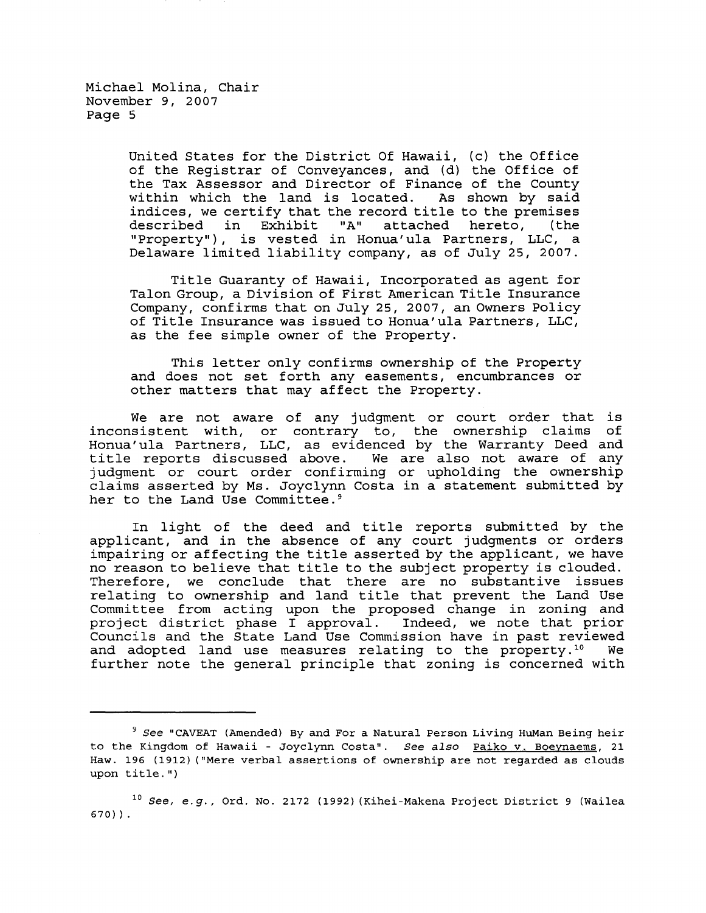> United States for the District Of Hawaii, (c) the Office of the Registrar of Conveyances, and (d) the Office of the Tax Assessor and Director of Finance of the County within which the land is located. As shown by said indices, we certify that the record title to the premises<br>described in Exhibit "A" attached hereto, (the described in Exhibit "A" "Property"), is vested in Honua'ula Partners, LLC, a Delaware limited liability company, as of July 25, 2007.

> Title Guaranty of Hawaii, Incorporated as agent for Talon Group, a Division of First American Title Insurance Company, confirms that on July 25, 2007, an Owners Policy of Title Insurance was issued to Honua'ula Partners, LLC, as the fee simple owner of the Property.

> This letter only confirms ownership of the Property and does not set forth any easements, encumbrances or other matters that may affect the Property.

We are not aware of any judgment or court order that is inconsistent with, or contrary to, the ownership claims of Honua'ula Partners, LLC, as evidenced by the Warranty Deed and title reports discussed above. We are also not aware of any judgment or court order confirming or upholding the ownership claims asserted by Ms. Joyclynn Costa in a statement submitted by her to the Land Use Committee.<sup>9</sup>

In light of the deed and title reports submitted by the applicant, and in the absence of any court judgments or orders impairing or affecting the title asserted by the applicant, we have no reason to believe that title to the subject property is clouded. Therefore, we conclude that there are no substantive issues relating to ownership and land title that prevent the Land Use Committee from acting upon the proposed change in zoning and project district phase I approval. Indeed, we note that prior Councils and the State Land Use Commission have in past reviewed<br>and adopted land use measures relating to the property.<sup>10</sup> We and adopted land use measures relating to the property.<sup>10</sup> further note the general principle that zoning is concerned with

*<sup>9</sup> See* "CAVEAT (Amended) By and For a Natural Person Living HuMan Being heir to the Kingdom of Hawaii - Joyclynn Costa". *See also* Paiko v. Boeynaems, 21 Haw. 196 (1912) ("Mere verbal assertions of ownership are not regarded as clouds upon title.")

*<sup>10</sup> See, e.g.,* Ord. No. 2172 (1992) (Kihei-Makena Project District 9 (Wailea 670) ) .